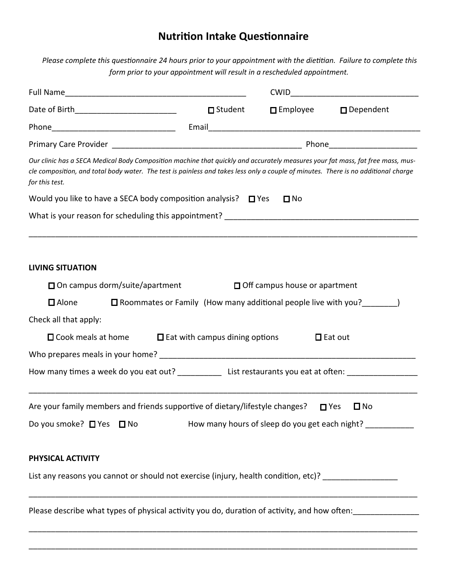## **Nutrition Intake Questionnaire**

*Please complete this questionnaire 24 hours prior to your appointment with the dietitian. Failure to complete this form prior to your appointment will result in a rescheduled appointment.*

| Date of Birth___________________________                                                                                                                                                                                                                                               | □ Student                                                                |                                      | □ Employee □ Dependent                                                       |  |  |  |
|----------------------------------------------------------------------------------------------------------------------------------------------------------------------------------------------------------------------------------------------------------------------------------------|--------------------------------------------------------------------------|--------------------------------------|------------------------------------------------------------------------------|--|--|--|
|                                                                                                                                                                                                                                                                                        |                                                                          |                                      |                                                                              |  |  |  |
|                                                                                                                                                                                                                                                                                        |                                                                          |                                      |                                                                              |  |  |  |
| Our clinic has a SECA Medical Body Composition machine that quickly and accurately measures your fat mass, fat free mass, mus-<br>cle composition, and total body water. The test is painless and takes less only a couple of minutes. There is no additional charge<br>for this test. |                                                                          |                                      |                                                                              |  |  |  |
| Would you like to have a SECA body composition analysis? $\Box$ Yes                                                                                                                                                                                                                    |                                                                          | $\Box$ No                            |                                                                              |  |  |  |
|                                                                                                                                                                                                                                                                                        |                                                                          |                                      |                                                                              |  |  |  |
|                                                                                                                                                                                                                                                                                        |                                                                          |                                      |                                                                              |  |  |  |
| <b>LIVING SITUATION</b>                                                                                                                                                                                                                                                                |                                                                          |                                      |                                                                              |  |  |  |
| □ On campus dorm/suite/apartment                                                                                                                                                                                                                                                       |                                                                          | $\Box$ Off campus house or apartment |                                                                              |  |  |  |
| $\Box$ Alone                                                                                                                                                                                                                                                                           | $\square$ Roommates or Family (How many additional people live with you? |                                      |                                                                              |  |  |  |
| Check all that apply:                                                                                                                                                                                                                                                                  |                                                                          |                                      |                                                                              |  |  |  |
| $\square$ Cook meals at home                                                                                                                                                                                                                                                           | $\Box$ Eat with campus dining options                                    |                                      | $\Box$ Eat out                                                               |  |  |  |
|                                                                                                                                                                                                                                                                                        |                                                                          |                                      |                                                                              |  |  |  |
| How many times a week do you eat out? ________________ List restaurants you eat at often: ___________________                                                                                                                                                                          |                                                                          |                                      |                                                                              |  |  |  |
| Are your family members and friends supportive of dietary/lifestyle changes?<br>Do you smoke? □ Yes □ No                                                                                                                                                                               |                                                                          |                                      | $\Box$ Yes<br>$\square$ No<br>How many hours of sleep do you get each night? |  |  |  |
| PHYSICAL ACTIVITY                                                                                                                                                                                                                                                                      |                                                                          |                                      |                                                                              |  |  |  |
| List any reasons you cannot or should not exercise (injury, health condition, etc)? ________________                                                                                                                                                                                   |                                                                          |                                      |                                                                              |  |  |  |
| Please describe what types of physical activity you do, duration of activity, and how often:                                                                                                                                                                                           |                                                                          |                                      |                                                                              |  |  |  |
|                                                                                                                                                                                                                                                                                        |                                                                          |                                      |                                                                              |  |  |  |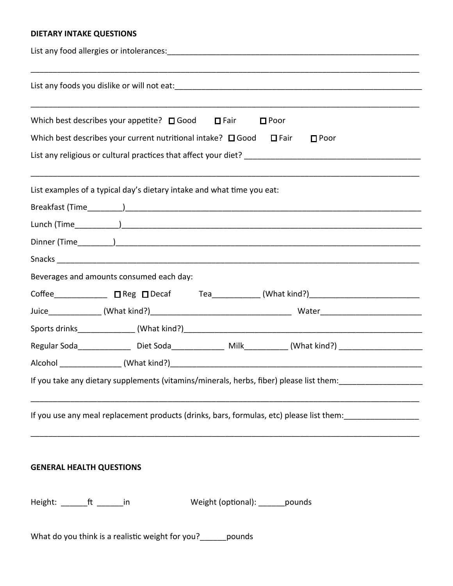## **DIETARY INTAKE QUESTIONS**

| Which best describes your appetite? $\Box$ Good $\Box$ Fair<br>$\Box$ Poor                                    |  |  |  |  |  |  |
|---------------------------------------------------------------------------------------------------------------|--|--|--|--|--|--|
| Which best describes your current nutritional intake? $\Box$ Good $\Box$ Fair<br>$\square$ Poor               |  |  |  |  |  |  |
| List examples of a typical day's dietary intake and what time you eat:                                        |  |  |  |  |  |  |
|                                                                                                               |  |  |  |  |  |  |
|                                                                                                               |  |  |  |  |  |  |
|                                                                                                               |  |  |  |  |  |  |
|                                                                                                               |  |  |  |  |  |  |
| Beverages and amounts consumed each day:                                                                      |  |  |  |  |  |  |
| Coffee_______________ □ Reg □ Decaf Tea___________ (What kind?)_________________________                      |  |  |  |  |  |  |
|                                                                                                               |  |  |  |  |  |  |
|                                                                                                               |  |  |  |  |  |  |
| Regular Soda_________________Diet Soda______________________________(What kind?) _________________________    |  |  |  |  |  |  |
|                                                                                                               |  |  |  |  |  |  |
| If you take any dietary supplements (vitamins/minerals, herbs, fiber) please list them:                       |  |  |  |  |  |  |
| If you use any meal replacement products (drinks, bars, formulas, etc) please list them: ____________________ |  |  |  |  |  |  |
| <b>GENERAL HEALTH QUESTIONS</b>                                                                               |  |  |  |  |  |  |
| Height: _________ft _________in<br>Weight (optional): _______ pounds                                          |  |  |  |  |  |  |
| What do you think is a realistic weight for you? ______ pounds                                                |  |  |  |  |  |  |